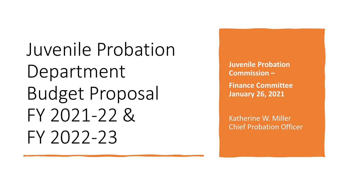Juvenile Probation Department Budget Proposal FY 2021-22 & FY 2022-23

**Juvenile Probation Commission –**

**Finance Committee January 26, 2021**

Katherine W. Miller Chief Probation Officer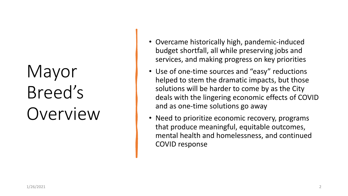# Mayor Breed's Overview

- Overcame historically high, pandemic-induced budget shortfall, all while preserving jobs and services, and making progress on key priorities
- Use of one-time sources and "easy" reductions helped to stem the dramatic impacts, but those solutions will be harder to come by as the City deals with the lingering economic effects of COVID and as one-time solutions go away
- Need to prioritize economic recovery, programs that produce meaningful, equitable outcomes, mental health and homelessness, and continued COVID response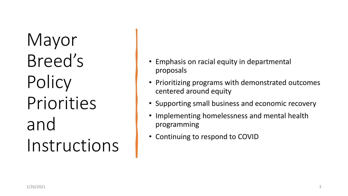Mayor Breed's Policy Priorities and Instructions

- Emphasis on racial equity in departmental proposals
- Prioritizing programs with demonstrated outcomes centered around equity
- Supporting small business and economic recovery
- Implementing homelessness and mental health programming
- Continuing to respond to COVID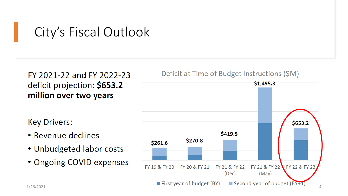### City's Fiscal Outlook

### FY 2021-22 and FY 2022-23 deficit projection: \$653.2 million over two years

**Key Drivers:** 

- Revenue declines
- Unbudgeted labor costs
- Ongoing COVID expenses

#### Deficit at Time of Budget Instructions (\$M)

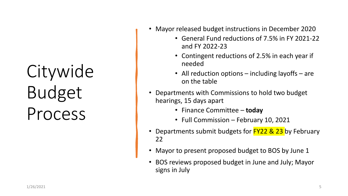# Citywide Budget Process

- Mayor released budget instructions in December 2020
	- General Fund reductions of 7.5% in FY 2021-22 and FY 2022-23
	- Contingent reductions of 2.5% in each year if needed
	- All reduction options including layoffs are on the table
- Departments with Commissions to hold two budget hearings, 15 days apart
	- Finance Committee **today**
	- Full Commission February 10, 2021
- Departments submit budgets for **FY22 & 23** by February 22
- Mayor to present proposed budget to BOS by June 1
- BOS reviews proposed budget in June and July; Mayor signs in July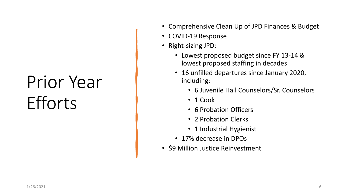# Prior Year **Efforts**

- Comprehensive Clean Up of JPD Finances & Budget
- COVID-19 Response
- Right-sizing JPD:
	- Lowest proposed budget since FY 13-14 & lowest proposed staffing in decades
	- 16 unfilled departures since January 2020, including:
		- 6 Juvenile Hall Counselors/Sr. Counselors
		- 1 Cook
		- 6 Probation Officers
		- 2 Probation Clerks
		- 1 Industrial Hygienist
	- 17% decrease in DPOs
- \$9 Million Justice Reinvestment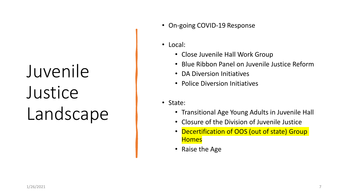# Juvenile **Justice** Landscape

- On-going COVID-19 Response
- Local:
	- Close Juvenile Hall Work Group
	- Blue Ribbon Panel on Juvenile Justice Reform
	- DA Diversion Initiatives
	- Police Diversion Initiatives
- State:
	- Transitional Age Young Adults in Juvenile Hall
	- Closure of the Division of Juvenile Justice
	- Decertification of OOS (out of state) Group **Homes**
	- Raise the Age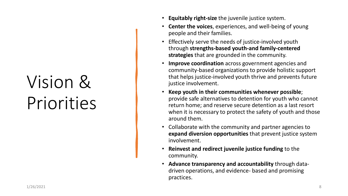# Vision & Priorities

- **Equitably right-size** the juvenile justice system.
- **Center the voices**, experiences, and well-being of young people and their families.
- Effectively serve the needs of justice-involved youth through **strengths-based youth-and family-centered strategies** that are grounded in the community.
- **Improve coordination** across government agencies and community-based organizations to provide holistic support that helps justice-involved youth thrive and prevents future justice involvement.
- **Keep youth in their communities whenever possible**; provide safe alternatives to detention for youth who cannot return home; and reserve secure detention as a last resort when it is necessary to protect the safety of youth and those around them.
- Collaborate with the community and partner agencies to **expand diversion opportunities** that prevent justice system involvement.
- **Reinvest and redirect juvenile justice funding** to the community.
- **Advance transparency and accountability** through datadriven operations, and evidence- based and promising practices.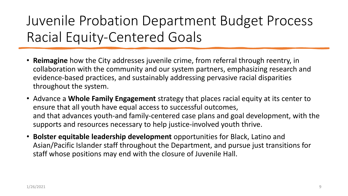### Juvenile Probation Department Budget Process Racial Equity-Centered Goals

- **Reimagine** how the City addresses juvenile crime, from referral through reentry, in collaboration with the community and our system partners, emphasizing research and evidence-based practices, and sustainably addressing pervasive racial disparities throughout the system.
- Advance a **Whole Family Engagement** strategy that places racial equity at its center to ensure that all youth have equal access to successful outcomes, and that advances youth-and family-centered case plans and goal development, with the supports and resources necessary to help justice-involved youth thrive.
- **Bolster equitable leadership development** opportunities for Black, Latino and Asian/Pacific Islander staff throughout the Department, and pursue just transitions for staff whose positions may end with the closure of Juvenile Hall.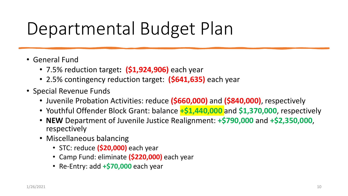# Departmental Budget Plan

- General Fund
	- 7.5% reduction target**: (\$1,924,906)** each year
	- 2.5% contingency reduction target: **(\$641,635)** each year
- Special Revenue Funds
	- Juvenile Probation Activities: reduce **(\$660,000)** and **(\$840,000)**, respectively
	- Youthful Offender Block Grant: balance **+\$1,440,000** and **\$1,370,000**, respectively
	- **NEW** Department of Juvenile Justice Realignment: **+\$790,000** and **+\$2,350,000**, respectively
	- Miscellaneous balancing
		- STC: reduce **(\$20,000)** each year
		- Camp Fund: eliminate **(\$220,000)** each year
		- Re-Entry: add **+\$70,000** each year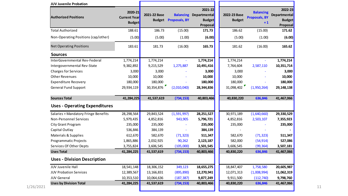| <b>JUV Juvenile Probation</b>        |                                                 |              |                             |                                                                       |                               |                                                  |                                                             |
|--------------------------------------|-------------------------------------------------|--------------|-----------------------------|-----------------------------------------------------------------------|-------------------------------|--------------------------------------------------|-------------------------------------------------------------|
| <b>Authorized Positions</b>          | 2020-21<br><b>Current Year</b><br><b>Budget</b> | 2021-22 Base | <b>Budget</b> Proposals, BY | 2021-22<br><b>Balancing Departmental</b><br><b>Budget</b><br>Proposal | 2022-23 Base<br><b>Budget</b> | <b>Balancing</b><br><b>Proposals, BY</b><br>$+1$ | 2022-23<br><b>Departmental</b><br><b>Budget</b><br>Proposal |
| <b>Total Authorized</b>              | 188.61                                          | 186.73       | (15.00)                     | 171.73                                                                | 186.62                        | (15.00)                                          | 171.62                                                      |
| Non-Operating Positions (cap/other)  | (5.00)                                          | (5.00)       | (1.00)                      | (6.00)                                                                | (5.00)                        | (1.00)                                           | (6.00)                                                      |
| <b>Net Operating Positions</b>       | 183.61                                          | 181.73       | (16.00)                     | 165.73                                                                | 181.62                        | (16.00)                                          | 165.62                                                      |
| <b>Sources</b>                       |                                                 |              |                             |                                                                       |                               |                                                  |                                                             |
| InterGovernmental Rev-Federal        | 1,774,214                                       | 1,774,214    |                             | 1,774,214                                                             | 1,774,214                     | $\mathbf{r}$                                     | 1,774,214                                                   |
| Intergovernmental Rev-State          | 9,382,892                                       | 9,215,529    | 1,275,887                   | 10,491,416                                                            | 7,764,604                     | 2,587,110                                        | 10,351,714                                                  |
| <b>Charges for Services</b>          | 3,000                                           | 3,000        |                             | 3,000                                                                 | 3,000                         |                                                  | 3,000                                                       |
| <b>Other Revenues</b>                | 10,000                                          | 10,000       |                             | 10,000                                                                | 10,000                        |                                                  | 10,000                                                      |
| <b>Expenditure Recovery</b>          | 180,000                                         | 180,000      |                             | 180,000                                                               | 180,000                       |                                                  | 180,000                                                     |
| <b>General Fund Support</b>          | 29,934,119                                      | 30,354,876   | (2,010,040)                 | 28,344,836                                                            | 31,098,402                    | (1,950,264)                                      | 29,148,138                                                  |
| <b>Sources Total</b>                 | 41,284,225                                      | 41,537,619   | (734, 153)                  | 40,803,466                                                            | 40,830,220                    | 636,846                                          | 41,467,066                                                  |
| <b>Uses - Operating Expenditures</b> |                                                 |              |                             |                                                                       |                               |                                                  |                                                             |
| Salaries + Mandatory Fringe Benefits | 28,298,564                                      | 29,843,524   | (1,591,997)                 | 28,251,527                                                            | 30,971,189                    | (1,640,660)                                      | 29,330,529                                                  |
| <b>Non-Personnel Services</b>        | 5,979,435                                       | 4,852,816    | 943,905                     | 5,796,721                                                             | 4,852,816                     | 2,503,107                                        | 7,355,923                                                   |
| City Grant Program                   | 235,000                                         | 235,000      |                             | 235,000                                                               | 235,000                       |                                                  | 235,000                                                     |
| Capital Outlay                       | 536,846                                         | 384,139      |                             | 384,139                                                               |                               |                                                  |                                                             |
| Materials & Supplies                 | 612,670                                         | 582,670      | (71, 323)                   | 511,347                                                               | 582,670                       | (71, 323)                                        | 511,347                                                     |
| Programmatic Projects                | 1,865,886                                       | 2,032,925    | 90,262                      | 2,123,187                                                             | 582,000                       | (54, 914)                                        | 527,086                                                     |
| Services Of Other Depts              | 3,755,824                                       | 3,606,545    | (105,000)                   | 3,501,545                                                             | 3,606,545                     | (99, 364)                                        | 3,507,181                                                   |
| <b>Uses Total</b>                    | 41,284,225                                      | 41,537,619   | (734, 153)                  | 40,803,466                                                            | 40,830,220                    | 636,846                                          | 41,467,066                                                  |
| <b>Uses - Division Description</b>   |                                                 |              |                             |                                                                       |                               |                                                  |                                                             |
| JUV Juvenile Hall                    | 18,541,148                                      | 18,306,152   | 349,123                     | 18,655,275                                                            | 18,847,407                    | 1,758,580                                        | 20,605,987                                                  |
| <b>JUV Probation Services</b>        | 12,389,567                                      | 13,166,831   | (895, 890)                  | 12,270,941                                                            | 12,071,313                    | (1,008,994)                                      | 11,062,319                                                  |
| <b>JUV General</b>                   | 10,353,510                                      | 10,064,636   | (187, 387)                  | 9,877,249                                                             | 9,911,500                     | (112, 740)                                       | 9,798,760                                                   |
| <b>Uses by Division Total</b>        | 41,284,225                                      | 41,537,619   | (734, 153)                  | 40,803,466                                                            | 40,830,220                    | 636,846                                          | 41,467,066                                                  |
|                                      |                                                 |              |                             |                                                                       |                               |                                                  |                                                             |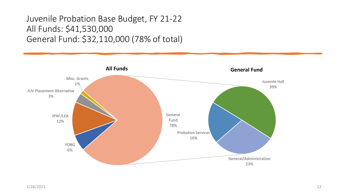### Juvenile Probation Base Budget, FY 21-22 All Funds: \$41,530,000 General Fund: \$32,110,000 (78% of total)

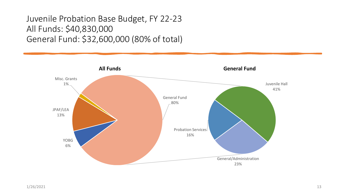### Juvenile Probation Base Budget, FY 22-23 All Funds: \$40,830,000 General Fund: \$32,600,000 (80% of total)

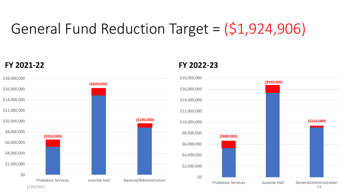# General Fund Reduction Target = (\$1,924,906)



#### **FY 2021-22 FY 2022-23**

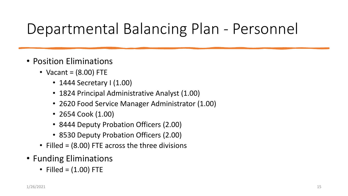# Departmental Balancing Plan - Personnel

- Position Eliminations
	- Vacant =  $(8.00)$  FTE
		- 1444 Secretary I (1.00)
		- 1824 Principal Administrative Analyst (1.00)
		- 2620 Food Service Manager Administrator (1.00)
		- 2654 Cook (1.00)
		- 8444 Deputy Probation Officers (2.00)
		- 8530 Deputy Probation Officers (2.00)
	- Filled = (8.00) FTE across the three divisions
- Funding Eliminations
	- Filled =  $(1.00)$  FTE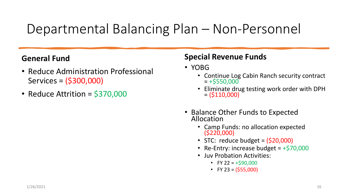### Departmental Balancing Plan – Non-Personnel

#### **General Fund**

- Reduce Administration Professional Services = (\$300,000)
- Reduce Attrition = \$370,000

#### **Special Revenue Funds**

- YOBG
	- Continue Log Cabin Ranch security contract  $= + $550,000$
	- Eliminate drug testing work order with DPH  $= (5110,000)$
- Balance Other Funds to Expected Allocation
	- Camp Funds: no allocation expected (\$220,000)
	- STC: reduce budget =  $(520,000)$
	- Re-Entry: increase budget  $= +570,000$
	- Juv Probation Activities:
		- FY 22 =  $+$ \$90,000
		- FY 23 =  $(555,000)$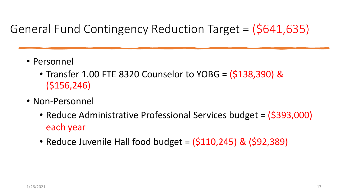### General Fund Contingency Reduction Target = (\$641,635)

- Personnel
	- Transfer 1.00 FTE 8320 Counselor to YOBG = (\$138,390) & (\$156,246)
- Non-Personnel
	- Reduce Administrative Professional Services budget = (\$393,000) each year
	- Reduce Juvenile Hall food budget =  $(5110, 245)$  &  $(592, 389)$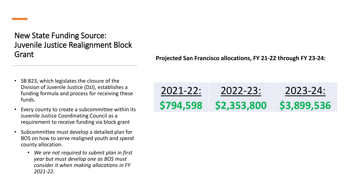New State Funding Source: Juvenile Justice Realignment Block Grant

- SB 823, which legislates the closure of the Division of Juvenile Justice (DJJ), establishes a funding formula and process for receiving these funds.
- Every county to create a subcommittee within its Juvenile Justice Coordinating Council as a requirement to receive funding via block grant
- Subcommittee must develop a detailed plan for BOS on how to serve realigned youth and spend county allocation.
	- *We are not required to submit plan in first year but must develop one as BOS must consider it when making allocations in FY 2021-22.*

**Projected San Francisco allocations, FY 21-22 through FY 23-24:**